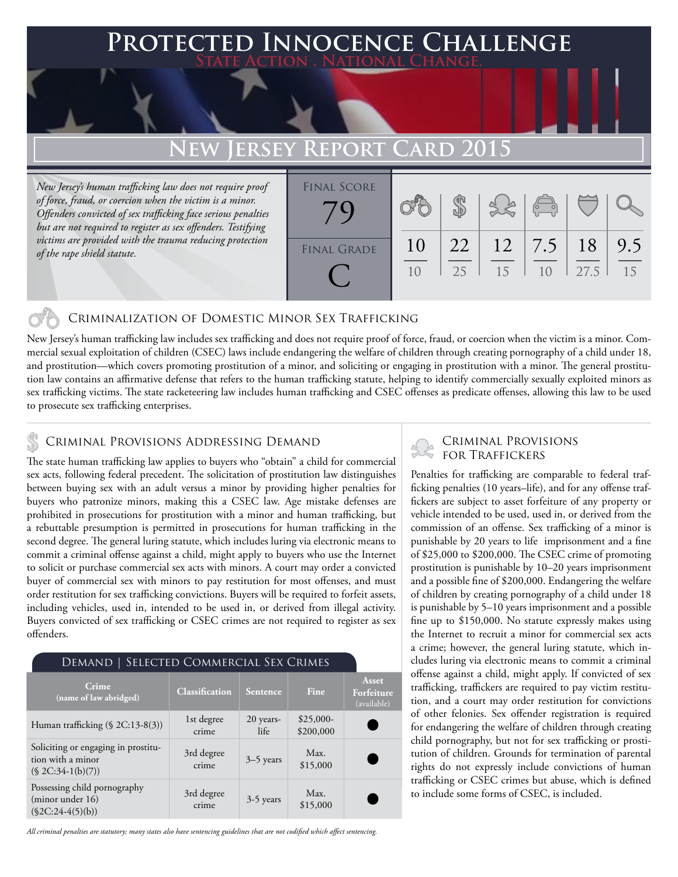### **FED INNOCENCE CHALLENGE State Action . National Change.**

# **EW JERSEY REPO**

*New Jersey's human trafficking law does not require proof of force, fraud, or coercion when the victim is a minor. Offenders convicted of sex trafficking face serious penalties but are not required to register as sex offenders. Testifying victims are provided with the trauma reducing protection of the rape shield statute.*

| <b>FINAL SCORE</b> |    |    |    |                       |      |     |
|--------------------|----|----|----|-----------------------|------|-----|
|                    |    |    |    | $\sqrt{\frac{1}{10}}$ |      |     |
|                    |    |    |    |                       |      |     |
|                    |    |    |    |                       |      |     |
| <b>FINAL GRADE</b> | 10 | 22 |    | $12 \mid 7.5 \mid$    | 18   | 9.5 |
|                    |    | 25 | 15 | 10                    | 27.5 | 15  |
|                    |    |    |    |                       |      |     |

### Criminalization of Domestic Minor Sex Trafficking

New Jersey's human trafficking law includes sex trafficking and does not require proof of force, fraud, or coercion when the victim is a minor. Commercial sexual exploitation of children (CSEC) laws include endangering the welfare of children through creating pornography of a child under 18, and prostitution—which covers promoting prostitution of a minor, and soliciting or engaging in prostitution with a minor. The general prostitution law contains an affirmative defense that refers to the human trafficking statute, helping to identify commercially sexually exploited minors as sex trafficking victims. The state racketeering law includes human trafficking and CSEC offenses as predicate offenses, allowing this law to be used to prosecute sex trafficking enterprises.

### Criminal Provisions Addressing Demand

The state human trafficking law applies to buyers who "obtain" a child for commercial sex acts, following federal precedent. The solicitation of prostitution law distinguishes between buying sex with an adult versus a minor by providing higher penalties for buyers who patronize minors, making this a CSEC law. Age mistake defenses are prohibited in prosecutions for prostitution with a minor and human trafficking, but a rebuttable presumption is permitted in prosecutions for human trafficking in the second degree. The general luring statute, which includes luring via electronic means to commit a criminal offense against a child, might apply to buyers who use the Internet to solicit or purchase commercial sex acts with minors. A court may order a convicted buyer of commercial sex with minors to pay restitution for most offenses, and must order restitution for sex trafficking convictions. Buyers will be required to forfeit assets, including vehicles, used in, intended to be used in, or derived from illegal activity. Buyers convicted of sex trafficking or CSEC crimes are not required to register as sex offenders.

| DEMAND   SELECTED COMMERCIAL SEX CRIMES                                        |                       |                   |                         |                                           |  |  |  |  |
|--------------------------------------------------------------------------------|-----------------------|-------------------|-------------------------|-------------------------------------------|--|--|--|--|
| Crime<br>(name of law abridged)                                                | <b>Classification</b> | Sentence          | Fine                    | <b>Asset</b><br>Forfeiture<br>(available) |  |  |  |  |
| Human trafficking $(\S$ 2C:13-8(3))                                            | 1st degree<br>crime   | 20 years-<br>life | $$25,000-$<br>\$200,000 |                                           |  |  |  |  |
| Soliciting or engaging in prostitu-<br>tion with a minor<br>$($2C:34-1(b)(7))$ | 3rd degree<br>crime   | $3-5$ years       | Max.<br>\$15,000        |                                           |  |  |  |  |
| Possessing child pornography<br>(minor under 16)<br>$(\$2C:24-4(5)(b))$        | 3rd degree<br>crime   | 3-5 years         | Max.<br>\$15,000        |                                           |  |  |  |  |

*All criminal penalties are statutory; many states also have sentencing guidelines that are not codified which affect sentencing.* 

# Criminal Provisions

Penalties for trafficking are comparable to federal trafficking penalties (10 years–life), and for any offense traffickers are subject to asset forfeiture of any property or vehicle intended to be used, used in, or derived from the commission of an offense. Sex trafficking of a minor is punishable by 20 years to life imprisonment and a fine of \$25,000 to \$200,000. The CSEC crime of promoting prostitution is punishable by 10–20 years imprisonment and a possible fine of \$200,000. Endangering the welfare of children by creating pornography of a child under 18 is punishable by 5–10 years imprisonment and a possible fine up to \$150,000. No statute expressly makes using the Internet to recruit a minor for commercial sex acts a crime; however, the general luring statute, which includes luring via electronic means to commit a criminal offense against a child, might apply. If convicted of sex trafficking, traffickers are required to pay victim restitution, and a court may order restitution for convictions of other felonies. Sex offender registration is required for endangering the welfare of children through creating child pornography, but not for sex trafficking or prostitution of children. Grounds for termination of parental rights do not expressly include convictions of human trafficking or CSEC crimes but abuse, which is defined to include some forms of CSEC, is included.